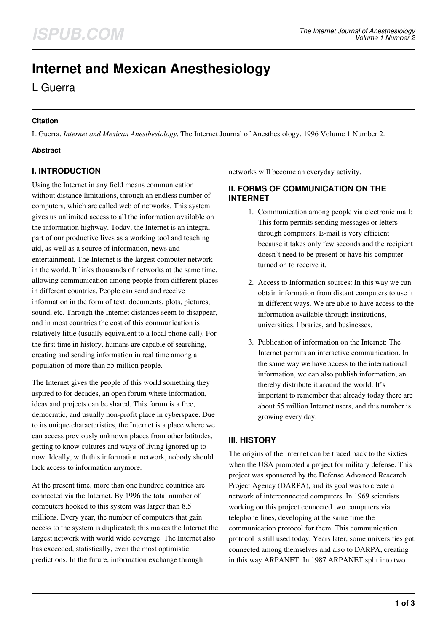# **Internet and Mexican Anesthesiology**

L Guerra

#### **Citation**

L Guerra. *Internet and Mexican Anesthesiology*. The Internet Journal of Anesthesiology. 1996 Volume 1 Number 2.

#### **Abstract**

# **I. INTRODUCTION**

Using the Internet in any field means communication without distance limitations, through an endless number of computers, which are called web of networks. This system gives us unlimited access to all the information available on the information highway. Today, the Internet is an integral part of our productive lives as a working tool and teaching aid, as well as a source of information, news and entertainment. The Internet is the largest computer network in the world. It links thousands of networks at the same time, allowing communication among people from different places in different countries. People can send and receive information in the form of text, documents, plots, pictures, sound, etc. Through the Internet distances seem to disappear, and in most countries the cost of this communication is relatively little (usually equivalent to a local phone call). For the first time in history, humans are capable of searching, creating and sending information in real time among a population of more than 55 million people.

The Internet gives the people of this world something they aspired to for decades, an open forum where information, ideas and projects can be shared. This forum is a free, democratic, and usually non-profit place in cyberspace. Due to its unique characteristics, the Internet is a place where we can access previously unknown places from other latitudes, getting to know cultures and ways of living ignored up to now. Ideally, with this information network, nobody should lack access to information anymore.

At the present time, more than one hundred countries are connected via the Internet. By 1996 the total number of computers hooked to this system was larger than 8.5 millions. Every year, the number of computers that gain access to the system is duplicated; this makes the Internet the largest network with world wide coverage. The Internet also has exceeded, statistically, even the most optimistic predictions. In the future, information exchange through

networks will become an everyday activity.

## **II. FORMS OF COMMUNICATION ON THE INTERNET**

- 1. Communication among people via electronic mail: This form permits sending messages or letters through computers. E-mail is very efficient because it takes only few seconds and the recipient doesn't need to be present or have his computer turned on to receive it.
- 2. Access to Information sources: In this way we can obtain information from distant computers to use it in different ways. We are able to have access to the information available through institutions, universities, libraries, and businesses.
- 3. Publication of information on the Internet: The Internet permits an interactive communication. In the same way we have access to the international information, we can also publish information, an thereby distribute it around the world. It's important to remember that already today there are about 55 million Internet users, and this number is growing every day.

# **III. HISTORY**

The origins of the Internet can be traced back to the sixties when the USA promoted a project for military defense. This project was sponsored by the Defense Advanced Research Project Agency (DARPA), and its goal was to create a network of interconnected computers. In 1969 scientists working on this project connected two computers via telephone lines, developing at the same time the communication protocol for them. This communication protocol is still used today. Years later, some universities got connected among themselves and also to DARPA, creating in this way ARPANET. In 1987 ARPANET split into two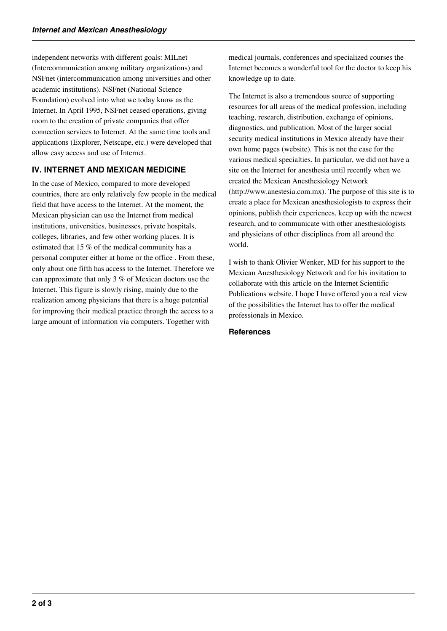independent networks with different goals: MILnet (Intercommunication among military organizations) and NSFnet (intercommunication among universities and other academic institutions). NSFnet (National Science Foundation) evolved into what we today know as the Internet. In April 1995, NSFnet ceased operations, giving room to the creation of private companies that offer connection services to Internet. At the same time tools and applications (Explorer, Netscape, etc.) were developed that allow easy access and use of Internet.

## **IV. INTERNET AND MEXICAN MEDICINE**

In the case of Mexico, compared to more developed countries, there are only relatively few people in the medical field that have access to the Internet. At the moment, the Mexican physician can use the Internet from medical institutions, universities, businesses, private hospitals, colleges, libraries, and few other working places. It is estimated that 15 % of the medical community has a personal computer either at home or the office . From these, only about one fifth has access to the Internet. Therefore we can approximate that only 3 % of Mexican doctors use the Internet. This figure is slowly rising, mainly due to the realization among physicians that there is a huge potential for improving their medical practice through the access to a large amount of information via computers. Together with

medical journals, conferences and specialized courses the Internet becomes a wonderful tool for the doctor to keep his knowledge up to date.

The Internet is also a tremendous source of supporting resources for all areas of the medical profession, including teaching, research, distribution, exchange of opinions, diagnostics, and publication. Most of the larger social security medical institutions in Mexico already have their own home pages (website). This is not the case for the various medical specialties. In particular, we did not have a site on the Internet for anesthesia until recently when we created the Mexican Anesthesiology Network (http://www.anestesia.com.mx). The purpose of this site is to create a place for Mexican anesthesiologists to express their opinions, publish their experiences, keep up with the newest research, and to communicate with other anesthesiologists and physicians of other disciplines from all around the world.

I wish to thank Olivier Wenker, MD for his support to the Mexican Anesthesiology Network and for his invitation to collaborate with this article on the Internet Scientific Publications website. I hope I have offered you a real view of the possibilities the Internet has to offer the medical professionals in Mexico.

#### **References**